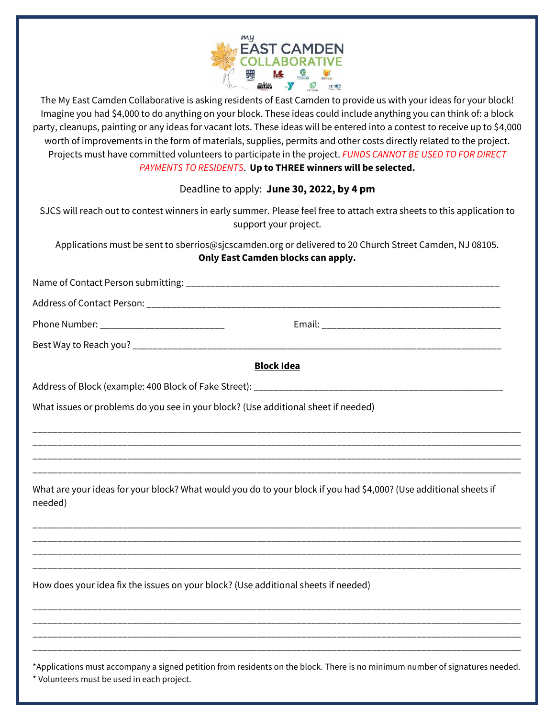

The My East Camden Collaborative is asking residents of East Camden to provide us with your ideas for your block! Imagine you had \$4,000 to do anything on your block. These ideas could include anything you can think of: a block party, cleanups, painting or any ideas for vacant lots. These ideas will be entered into a contest to receive up to \$4,000 worth of improvements in the form of materials, supplies, permits and other costs directly related to the project. Projects must have committed volunteers to participate in the project. *FUNDS CANNOT BE USED TO FOR DIRECT PAYMENTS TO RESIDENTS*. **Up to THREE winners will be selected.**

Deadline to apply: **June 30, 2022, by 4 pm**

| SJCS will reach out to contest winners in early summer. Please feel free to attach extra sheets to this application to<br>support your project. |
|-------------------------------------------------------------------------------------------------------------------------------------------------|
| Applications must be sent to sberrios@sjcscamden.org or delivered to 20 Church Street Camden, NJ 08105.<br>Only East Camden blocks can apply.   |
|                                                                                                                                                 |
|                                                                                                                                                 |
| Phone Number: _____________________________                                                                                                     |
|                                                                                                                                                 |
| <b>Block Idea</b>                                                                                                                               |
|                                                                                                                                                 |
| What issues or problems do you see in your block? (Use additional sheet if needed)                                                              |
|                                                                                                                                                 |
|                                                                                                                                                 |
| What are your ideas for your block? What would you do to your block if you had \$4,000? (Use additional sheets if<br>needed)                    |
|                                                                                                                                                 |
|                                                                                                                                                 |
| How does your idea fix the issues on your block? (Use additional sheets if needed)                                                              |
|                                                                                                                                                 |
| *Applications must accompany a signed petition from residents on the block. There is no minimum number of signatures needed.                    |

\* Volunteers must be used in each project.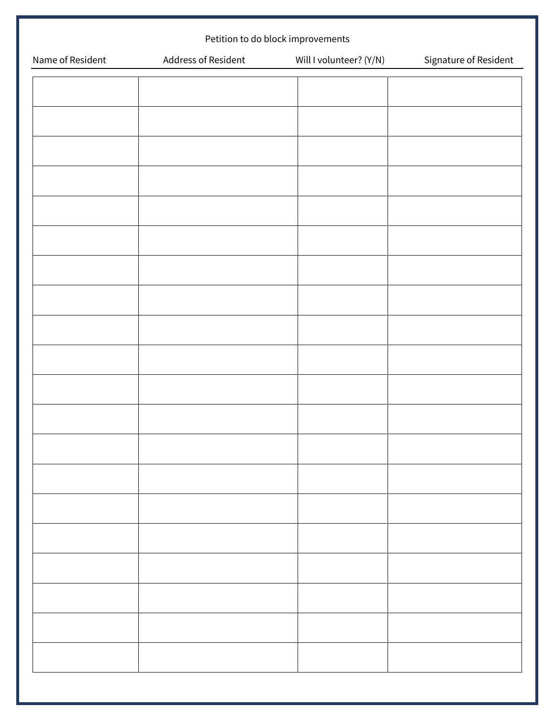| Petition to do block improvements |                     |                         |                       |  |
|-----------------------------------|---------------------|-------------------------|-----------------------|--|
| Name of Resident                  | Address of Resident | Will I volunteer? (Y/N) | Signature of Resident |  |
|                                   |                     |                         |                       |  |
|                                   |                     |                         |                       |  |
|                                   |                     |                         |                       |  |
|                                   |                     |                         |                       |  |
|                                   |                     |                         |                       |  |
|                                   |                     |                         |                       |  |
|                                   |                     |                         |                       |  |
|                                   |                     |                         |                       |  |
|                                   |                     |                         |                       |  |
|                                   |                     |                         |                       |  |
|                                   |                     |                         |                       |  |
|                                   |                     |                         |                       |  |
|                                   |                     |                         |                       |  |
|                                   |                     |                         |                       |  |
|                                   |                     |                         |                       |  |
|                                   |                     |                         |                       |  |
|                                   |                     |                         |                       |  |
|                                   |                     |                         |                       |  |
|                                   |                     |                         |                       |  |
|                                   |                     |                         |                       |  |
|                                   |                     |                         |                       |  |
|                                   |                     |                         |                       |  |
|                                   |                     |                         |                       |  |
|                                   |                     |                         |                       |  |
|                                   |                     |                         |                       |  |
|                                   |                     |                         |                       |  |
|                                   |                     |                         |                       |  |